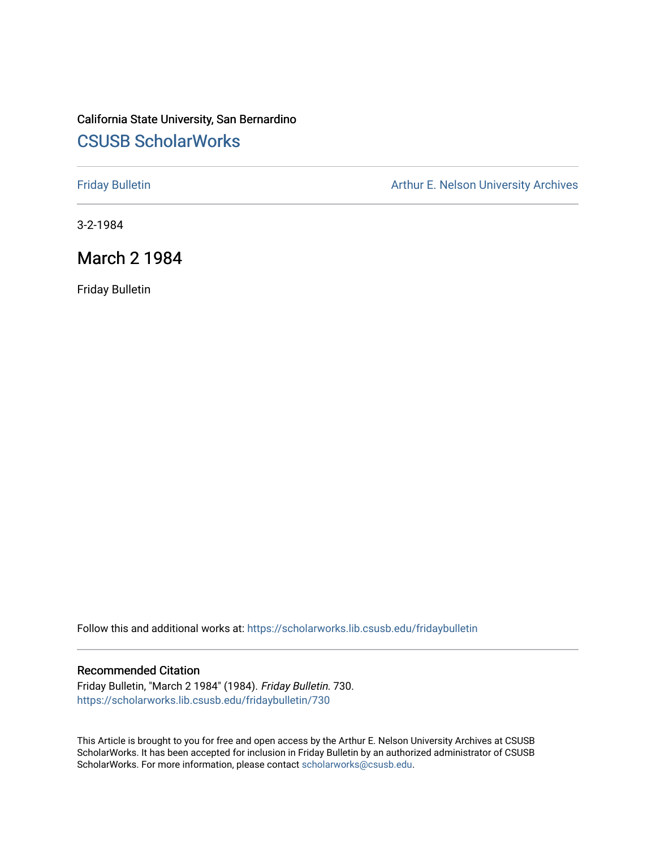# California State University, San Bernardino [CSUSB ScholarWorks](https://scholarworks.lib.csusb.edu/)

[Friday Bulletin](https://scholarworks.lib.csusb.edu/fridaybulletin) **Arthur E. Nelson University Archives** Arthur E. Nelson University Archives

3-2-1984

# March 2 1984

Friday Bulletin

Follow this and additional works at: [https://scholarworks.lib.csusb.edu/fridaybulletin](https://scholarworks.lib.csusb.edu/fridaybulletin?utm_source=scholarworks.lib.csusb.edu%2Ffridaybulletin%2F730&utm_medium=PDF&utm_campaign=PDFCoverPages)

## Recommended Citation

Friday Bulletin, "March 2 1984" (1984). Friday Bulletin. 730. [https://scholarworks.lib.csusb.edu/fridaybulletin/730](https://scholarworks.lib.csusb.edu/fridaybulletin/730?utm_source=scholarworks.lib.csusb.edu%2Ffridaybulletin%2F730&utm_medium=PDF&utm_campaign=PDFCoverPages)

This Article is brought to you for free and open access by the Arthur E. Nelson University Archives at CSUSB ScholarWorks. It has been accepted for inclusion in Friday Bulletin by an authorized administrator of CSUSB ScholarWorks. For more information, please contact [scholarworks@csusb.edu.](mailto:scholarworks@csusb.edu)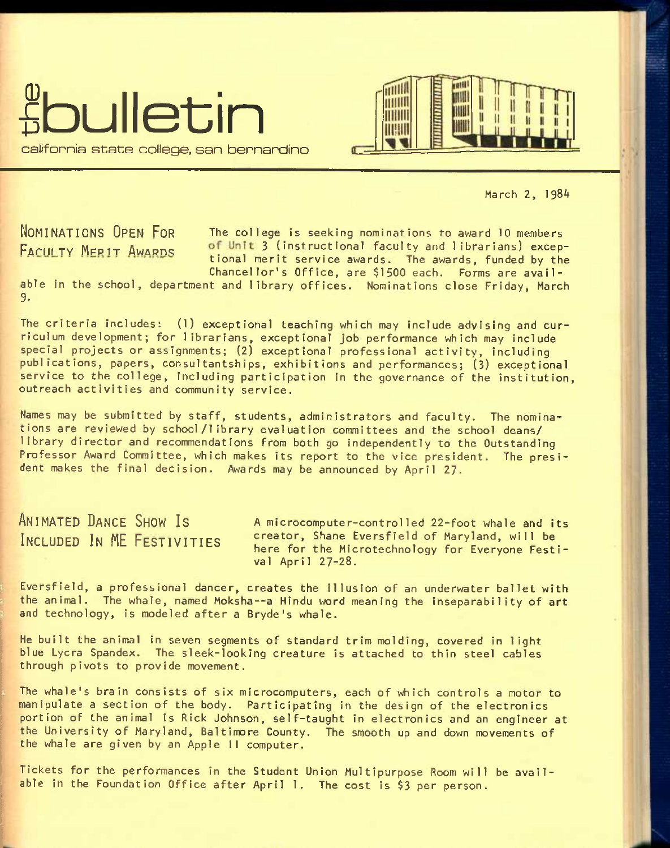# **^bulletin**

California state college, san bennandino

March 2, 1984

NOMINATIONS OPEN FOR The college is seeking nominations to award 10 members FACULTY MERIT AWARDS of Unit 3 (instructional faculty and librarians) exceptional merit service awards. The awards, funded by the Chancellor's Office, are \$1500 each. Forms are avail-

able in the school, department and library offices. Nominations close Friday, March 9.

The criteria includes: (1) exceptional teaching which may Include advising and curriculum development; for librarians, exceptional job performance which may include special projects or assignments; (2) exceptional professional activity, including publications, papers, consultantships, exhibitions and performances; (3) exceptional service to the college, including participation in the governance of the institution, outreach activities and community service.

Names may be submitted by staff, students, administrators and faculty. The nominations are reviewed by school/Iibrary evaluation committees and the school deans/ library director and recommendations from both go independently to the Outstanding Professor Award Committee, which makes its report to the vice president. The president makes the final decision. Awards may be announced by April 27-

**ANIMATED DANCE SHOW IS INCLUDED IN ME FESTIVITIES** 

A microcomputer-control led 22-foot whale and its creator, Shane Eversfield of Maryland, will be here for the Microtechnology for Everyone Festival April 27-28.

Eversfield, a professional dancer, creates the illusion of an underwater ballet with the animal. The whale, named Moksha--a Hindu word meaning the inseparability of art and technology, is modeled after a Bryde's whale.

He built the animal in seven segments of standard trim molding, covered in light blue Lycra Spandex. The sleek-looking creature is attached to thin steel cables through pivots to provide movement.

The whale's brain consists of six microcomputers, each of which controls a motor to manipulate a section of the body. Participating in the design of the electronics portion of the animal is Rick Johnson, self-taught in electronics and an engineer at the University of Maryland, Baltimore County. The smooth up and down movements of the whale are given by an Apple II computer.

Tickets for the performances in the Student Union Multipurpose Room will be available in the Foundation Office after April 1. The cost is \$3 per person.

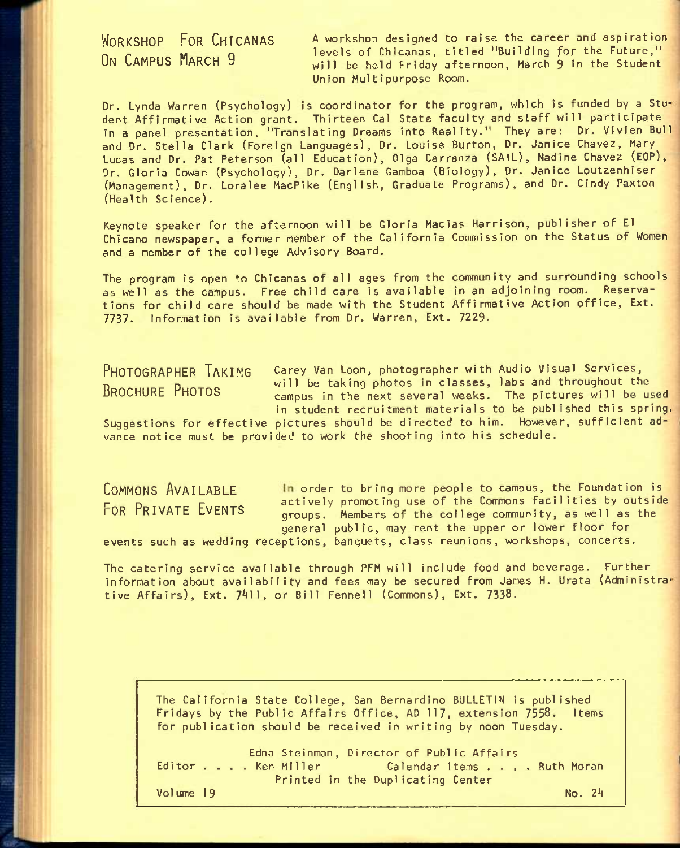**WORKSHOP FOR CHICANAS ON CAMPUS MARCH 9** 

A workshop designed to raise the career and aspiration levels of Chicanas, titled "Building for the Future," will be held Friday afternoon, March 9 in the Student Union Multipurpose Room.

Dr. Lynda Warren (Psychology) is coordinator for the program, which is funded by a Student Affirmative Action grant. Thirteen Cal State faculty and staff will participate in a panel presentation, "Translating Dreams into Reality." They are: Dr. Vivien Bull and Dr. Stella Clark (Foreign Languages), Dr. Louise Burton, Dr. Janice Chavez, Mary Lucas and Dr. Pat Peterson (all Education), Olga Carranza (SAIL), Nadine Chavez (EOP), Dr. Gloria Cowan (Psychology), Dr. Darlene Gamboa (Biology), Dr. Janice Loutzenhiser (Management), Dr. Loralee MacPike (English, Graduate Programs), and Dr. Cindy Paxton (Health Science).

Keynote speaker for the afternoon will be Gloria Macias Harrison, publisher of El Chicano newspaper, a former member of the California Commission on the Status of Women and a member of the college Advisory Board.

The program is open to Chicanas of all ages from the community and surrounding schools as well as the campus. Free child care is available in an adjoining room. Reservations for child care should be made with the Student Affirmative Action office, Ext. 7737. Information is available from Dr. Warren, Ext. 7229.

**PHOTOGRAPHER TAKING BROCHURE PHOTOS** 

Carey Van Loon, photographer with Audio Visual Services, will be taking photos in classes, labs and throughout the campus in the next several weeks. The pictures will be used in student recruitment materials to be published this spring.

Suggestions for effective pictures should be directed to him. However, sufficient advance notice must be provided to work the shooting into his schedule.

COMMONS AVAILABLE **In order to bring more people to campus, the Foundation is** FOR PRIVATE EVENTS actively promoting use of the Commons facilities by outside<br>Nambols of the college community as well as the groups. Members of the college community, as well as the general public, may rent the upper or lower floor for

events such as wedding receptions, banquets, class reunions, workshops, concerts.

The catering service available through PFM will include food and beverage. Further information about availability and fees may be secured from James H. Urata (Administrative Affairs), Ext. 7^11, or Bill Fennell (Commons), Ext. 7338.

The California State College, San Bernardino BULLETIN is published Fridays by the Public Affairs Office, AD 117, extension 7558. Items for publication should be received in writing by noon Tuesday.

Edna Steinman, Director of Public Affairs Editor .... Ken Miller Calendar Items .... Ruth Moran Printed in the Duplicating Center Volume 19 No. 24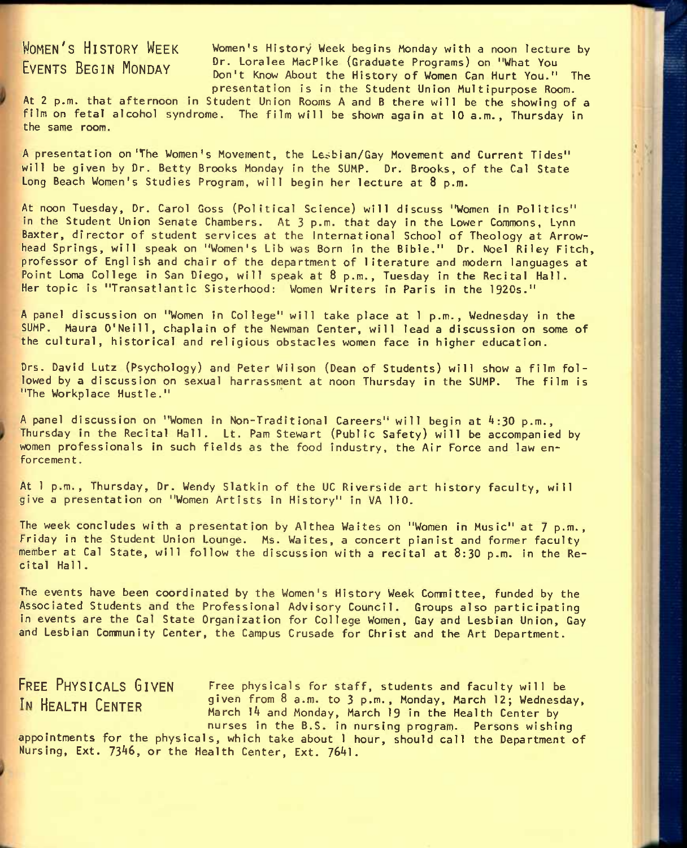**WOMEN'S HISTORY WEEK** women's History week begins Monday with a noon lecture by **EVENTS BEGIN MONDAY** Dr. Loralee MacPike (Graduate Programs) on "What You Don't Know About the History of Women Can Hurt You." The presentation is in the Student Union Multipurpose Room.

At 2 p.m. that afternoon in Student Union Rooms A and B there will be the showing of a film on fetal alcohol syndrome. The film will be shown again at 10 a.m., Thursday in the same room.

A presentation on The Women's Movement, the Lesbian/Gay Movement and Current Tides" will be given by Dr. Betty Brooks Monday In the SUMP. Dr. Brooks, of the Cal State Long Beach Women's Studies Program, will begin her lecture at 8 p.m.

At noon Tuesday, Dr. Carol Goss (Political Science) will discuss "Women In Politics" In the Student Union Senate Chambers. At 3 p.m. that day In the Lower Commons, Lynn Baxter, director of student services at the International School of Theology at Arrowhead Springs, will speak on "Women's Lib was Born In the Bible." Dr. Noel Riley Fitch, professor of English and chair of the department of literature and modern languages at Point Loma College in San Diego, will speak at 8 p.m., Tuesday in the Recital Hall. Her topic is "Transatlantic Sisterhood: Women Writers in Paris in the 1920s."

A panel discussion on "Women in College" will take place at 1 p.m., Wednesday In the SUMP. Maura O'Neill, chaplain of the Newman Center, will lead a discussion on some of the cultural, historical and religious obstacles women face In higher education.

Drs. David Lutz (Psychology) and Peter Wilson (Dean of Students) will show a film followed by a discussion on sexual harrassment at noon Thursday in the SUMP. The film is "The Workplace Hustle."

A panel discussion on "Women in Non-Traditional Careers" will begin at 4:30 p.m., Thursday In the Recital Hall. Lt. Pam Stewart (Public Safety) will be accompanied by women professionals in such fields as the food Industry, the Air Force and law enforcement .

At 1 p.m., Thursday, Dr. Wendy Slatkin of the UC Riverside art history faculty, will give a presentation on "Women Artists in History" In VA 110.

The week concludes with a presentation by Althea Waltes on "Women in Music" at 7 p.m., Friday In the Student Union Lounge. Ms. Waltes, a concert pianist and former faculty member at Cal State, will follow the discussion with a recital at 8:30 p.m. in the Recital Hall.

The events have been coordinated by the Women's History Week Committee, funded by the Associated Students and the Professional Advisory Council. Groups also participating In events are the Cal State Organization for College Women, Gay and Lesbian Union, Gay and Lesbian Community Center, the Campus Crusade for Christ and the Art Department.

**FREE PHYSICALS GIVEN** Free physicals for staff, students and faculty will be IN HEALTH CENTER given from 8 a.m. to 3 p.m., Monday, March 12; Wednesday, March 14 and Monday, March 19 in the Health Center by nurses in the B.S. In nursing program. Persons wishing

appointments for the physicals, which take about 1 hour, should call the Department of Nursing, Ext. 7346, or the Health Center, Ext. 7641.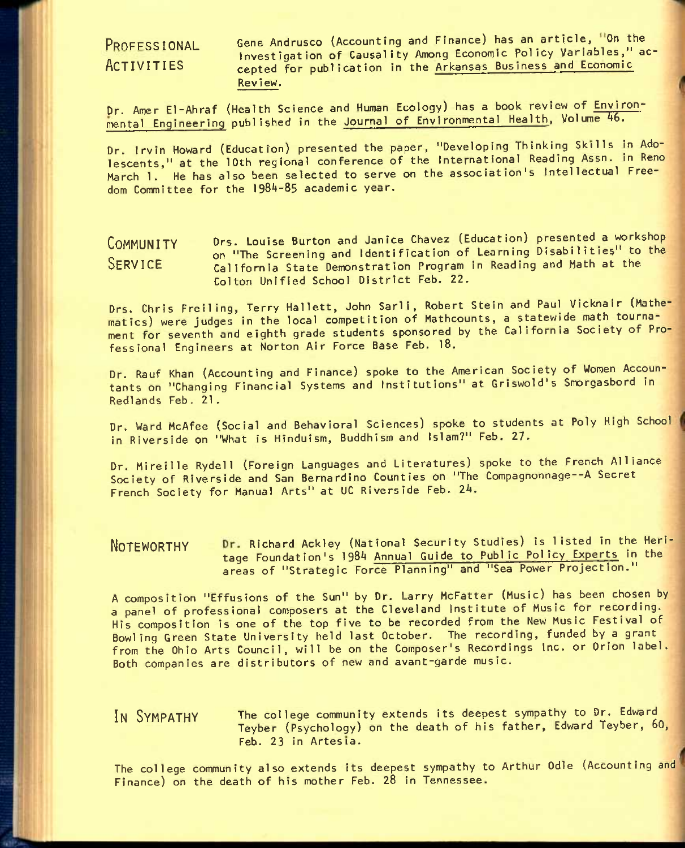PROFESSIONAL Gene Andrusco (Accounting and Finance) has an article, "On the Investigation of Causality Among Economic Policy Variables," ac-**ACTIVITIES** cepted for publication in the Arkansas Business and Economic Review,

Dr. Amer El-Ahraf (Health Science and Human Ecology) has a book review of Environmental Engineering published in the Journal of Environmental Health, Volume 46.

Dr. Irvin Howard (Education) presented the paper, "Developing Thinking Skills in Adolescents," at the 10th regional conference of the International Reading Assn, in Reno March 1. He has also been selected to serve on the association's Intellectual Freedom Conmittee for the I98A-85 academic year.

**COMMUNITY** Ors. Louise Burton and Janice Chavez (Education) presented a workshop on "The Screening and Identification of Learning Disabilities" to the **SERVICE** California State Demonstration Program in Reading and Nath at the Col ton Unified School District Feb. 22.

Drs. Chris Freiling, Terry Hallett, John Sarii, Robert Stein and Paul Vicknair (Mathematics) were judges in the local competition of Mathcounts, a statewide math tournament for seventh and eighth grade students sponsored by the California Society of Professional Engineers at Norton Air Force Base Feb. 18,

Dr. Rauf Khan (Accounting and Finance) spoke to the American Society of Women Accountants on "Changing Financial Systems and Institutions" at Griswold's Smorgasbord in Redlands Feb. 21.

Dr. Ward McAfee (Social and Behavioral Sciences) spoke to students at Poly High School in Riverside on "What is Hinduism, Buddhism and Islam?" Feb. 27.

Dr. Mireille Rydell (Foreign Languages and Literatures) spoke to the French Alliance Society of Riverside and San Bernardino Counties on "The Compagnonnage--A Secret French Society for Manual Arts" at UC Riverside Feb. 2A.

NOTEWORTHY Dr. Richard Ackley (National Security Studies) is listed in the Heritage Foundation's 1984 Annual Guide to Public Policy Experts in the areas of "Strategic Force Planning" and "Sea Power Projection."

A composition "Effusions of the Sun" by Dr. Larry McFatter (Music) has been chosen by a panel of professional composers at the Cleveland Institute of Music for recording. His composition is one of the top five to be recorded from the New Music Festival of Bowling Green State University held last October. The recording, funded by a grant from the Ohio Arts Council, will be on the Composer's Recordings Inc. or Orion label. Both companies are distributors of new and avant-garde music.

IN SYMPATHY The college community extends its deepest sympathy to Dr. Edward Teyber (Psychology) on the death of his father, Edward Teyber, 60, Feb. 23 in Artesia.

The college community also extends its deepest sympathy to Arthur Odle (Accounting and Finance) on the death of his mother Feb. 28 in Tennessee.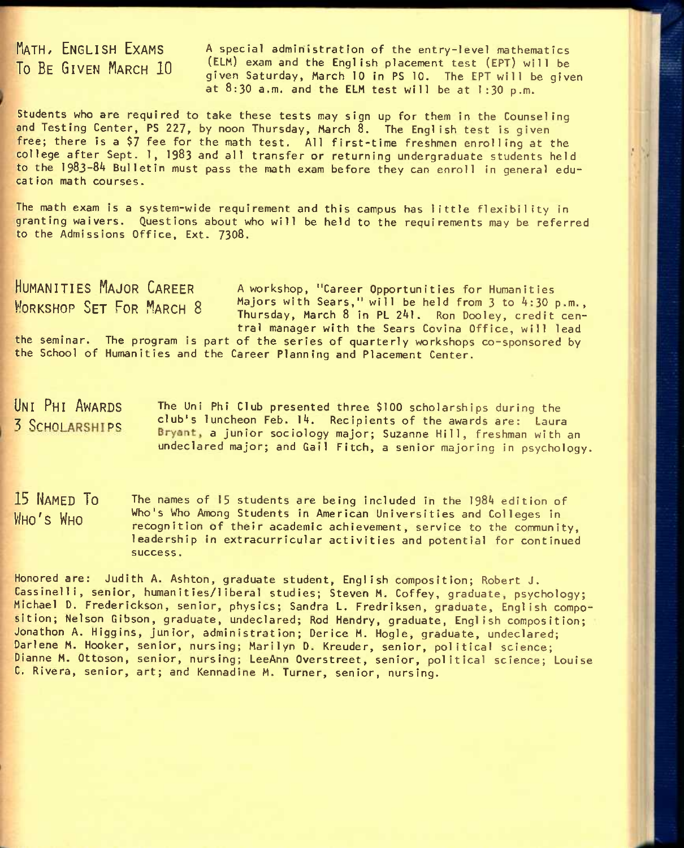# **MATH/ ENGLISH EXAMS To BE GIVEN MARCH 10**

A special administration of the entry-level mathematics (**ELM**) exam and the English placement test (EPT) will be given Saturday, March 10 in PS 10. The EFT will be given at 8:30 a.m. and the ELM test will be at 1:30 p.m.

Students who are required to take these tests may sign up for them in the Counseling and Testing Center, PS 227, by noon Thursday, March 8. The English test is given free; there is a \$7 fee for the math test. All first-time freshmen enrolling at the college after Sept. 1, 1983 and all transfer or returning undergraduate students held to the 1983-84 Bulletin must pass the math exam before they can enroll in general education math courses.

The math exam is a system-wide requirement and this campus has little flexibility in granting waivers. Questions about who will be held to the requirements may be referred to the Admissions Office, Ext. 7308.

HUMANITIES MAJOR CAREER A workshop, "Career Opportunities for Humanities **MORKSHOP SET FOR MARCH 8** Majors with Sears," will be held from 3 to 4:30 p.m., Thursday, March 8 in PL 241. Ron Dooley, credit central manager with the Sears Covina Office, will lead

the seminar. The program is part of the series of quarterly workshops co-sponsored by the School of Humanities and the Career Planning and Placement Center.

UNI PHI AWARDS The Uni Phi Club presented three \$100 scholarships during the  $\overline{3}$  SCHOLARSHIPS club's luncheon Feb. 14. Recipients of the awards are: Laura Bryant, a junior sociology major; Suzanne Hill, freshman with an undeclared major; and Gail Fitch, a senior majoring in psychology.

The names of 15 students are being included in the 1984 edition of Who's Who Among Students in American Universities and Colleges in recognition of their academic achievement, service to the community, leadership in extracurricular activities and potential for continued success. **15 NAMED TO WHO'S WHO** 

Honored are: Judith A. Ashton, graduate student, English composition; Robert J. Cassinelli, senior, humanities/liberal studies; Steven M. Coffey, graduate, psychology; Michael D. Frederickson, senior, physics; Sandra L. Fredriksen, graduate, English composition; Nelson Gibson, graduate, undeclared; Rod Hendry, graduate, English composition; Jonathon A. Higgins, junior, administration; Derice M. Hogle, graduate, undeclared; Darlene M. Hooker, senior, nursing; Marilyn D. Kreuder, senior, political science; Dianne M. Ottoson, senior, nursing; LeeAnn Overstreet, senior, political science; Louise C. Rivera, senior, art; and Kennadine M. Turner, senior, nursing.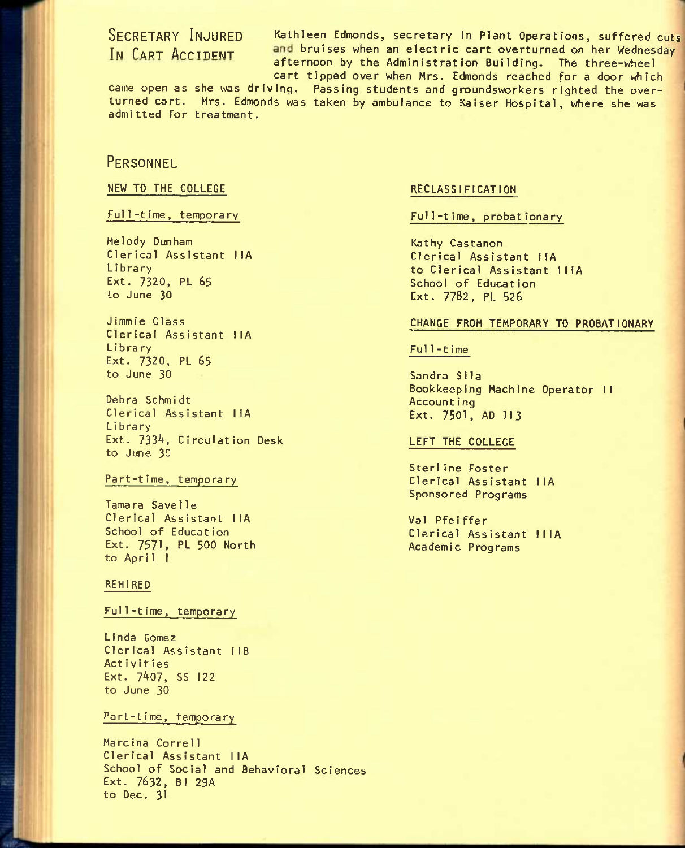**SECRETARY INJURED** Kathleen Edmonds, secretary in Plant Operations, suffered cuts IN CART ACCIDENT and bruises when an electric cart overturned on her Wednesday afternoon by the Administration Building. The three-wheel cart tipped over when Mrs. Edmonds reached for a door which

came open as she was driving. Passing students and groundsworkers righted the overturned cart. Mrs. Edmonds was taken by ambulance to Kaiser Hospital, where she was admitted for treatment.

## **PERSONNEL**

## NEW TO THE COLLEGE

#### Full-time, temporary

Melody Dunham Clerical Assistant IIA Library Ext. 7320, PL 65 to June 30

Jimmie Glass Clerical Assistant IIA Library Ext. 7320, PL 65 to June 30

Debra Schmidt Clerical Assistant IIA Library Ext. 7334, Circulation Desk to June 30

#### Part-t ime, tempora ry

Tamara Savelle Clerical Assistant IlA School of Education Ext. 7571, PL 500 North to April 1

#### REHIRED

#### Full-time, temporary

Linda Gomez Clerical Assistant I IB **Activities** Ext. 7407, SS 122 to June 30

#### Part-time, temporary

Marcina Correll Clerical Assistant IIA School of Social and Behavioral Sciences Ext. 7632, B! 29A to Dec. 31

#### RECLASSIFICATION

## Ful1-time, probationary

Kathy Castanon Clerical Assistant IIA to Clerical Assistant IIlA School of Education Ext. 7782, PL 526

#### CHANGE FROM TEMPORARY TO PROBATIONARY

### Ful1-t ime

Sandra SI la Bookkeeping Machine Operator II Account ing Ext. 7501, AD 113

#### LEFT THE COLLEGE

Sterline Foster Clerical Assistant IIA Sponsored Programs

Val Pfeiffer Clerical Assistant IIIA Academic Programs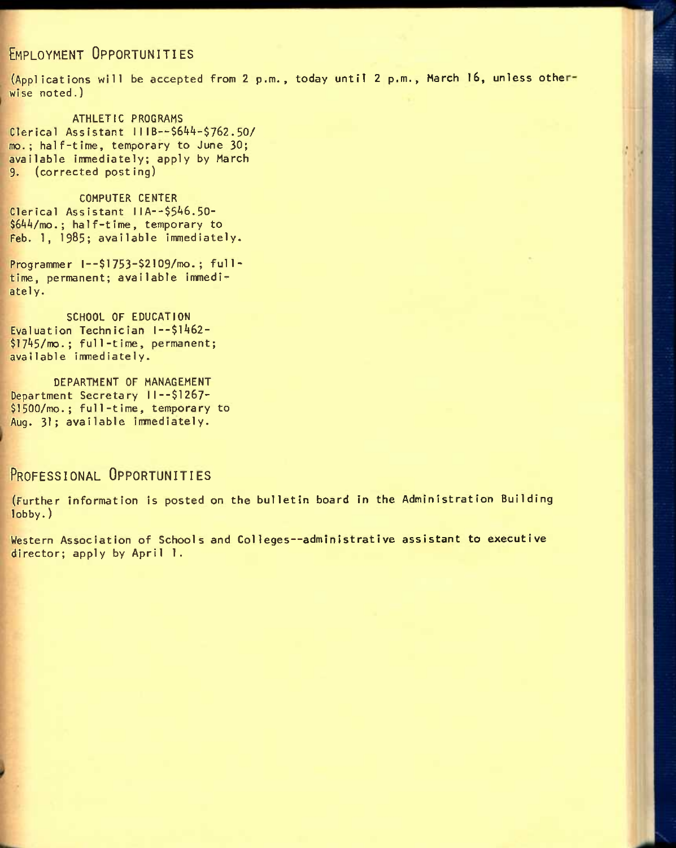# **EMPLOYMENT OPPORTUNITIES**

(Applications will be accepted from 2 p.m., today until 2 p.m., March 16, unless othe wise noted.)

ATHLETIC PROGRAMS Clerical Assistant IIIB--\$644-\$762.50/ mo.; half-time, temporary to June 30; available immediately; apply by March 9. (corrected posting)

COMPUTER CENTER Clerical Assistant IIA--\$546.50-\$644/mo.; half-time, temporary to Feb. 1, 1985; available immediately.

Programmer l--\$1753-\$2109/mo.; fulltime, permanent; available immediately.

SCHOOL OF EDUCATION Evaluation Technician I--\$1462-\$1745/mo.; full-time, permanent; available immediately.

DEPARTMENT OF MANAGEMENT Department Secretary II--\$1267-\$1500/mo.; full-time, temporary to Aug. 31; available immediately.

# **PROFESSIONAL OPPORTUNITIES**

(Further information is posted on the bulletin board in the Administration Building lobby.)

Western Association of Schools and Colleges—administrative assistant to executive director; apply by April 1.